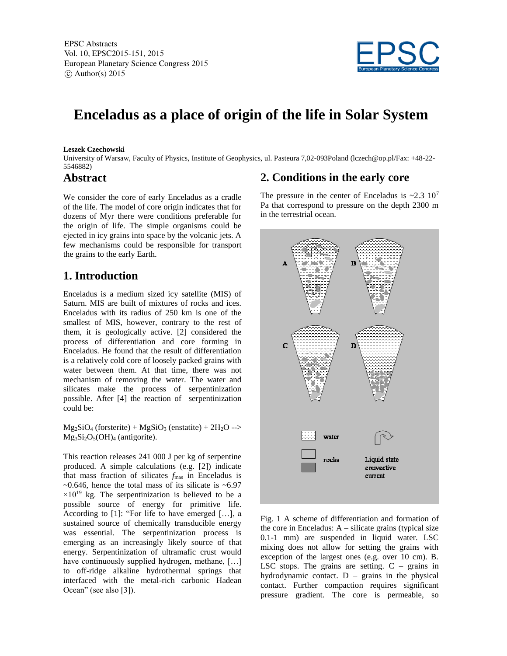EPSC Abstracts Vol. 10, EPSC2015-151, 2015 European Planetary Science Congress 2015  $\circ$  Author(s) 2015



# **Enceladus as a place of origin of the life in Solar System**

#### **Leszek Czechowski**

University of Warsaw, Faculty of Physics, Institute of Geophysics, ul. Pasteura 7,02-093Poland (lczech@op.pl/Fax: +48-22- 5546882)

### **Abstract**

We consider the core of early Enceladus as a cradle of the life. The model of core origin indicates that for dozens of Myr there were conditions preferable for the origin of life. The simple organisms could be ejected in icy grains into space by the volcanic jets. A few mechanisms could be responsible for transport the grains to the early Earth.

#### **1. Introduction**

Enceladus is a medium sized icy satellite (MIS) of Saturn. MIS are built of mixtures of rocks and ices. Enceladus with its radius of 250 km is one of the smallest of MIS, however, contrary to the rest of them, it is geologically active. [2] considered the process of differentiation and core forming in Enceladus. He found that the result of differentiation is a relatively cold core of loosely packed grains with water between them. At that time, there was not mechanism of removing the water. The water and silicates make the process of serpentinization possible. After [4] the reaction of serpentinization could be:

 $Mg_2SiO_4$  (forsterite) +  $MgSiO_3$  (enstatite) +  $2H_2O \rightarrow$  $Mg_3Si_2O_5(OH)_4$  (antigorite).

This reaction releases 241 000 J per kg of serpentine produced. A simple calculations (e.g. [2]) indicate that mass fraction of silicates  $f_{\text{mas}}$  in Enceladus is  $\sim$ 0.646, hence the total mass of its silicate is  $\sim$ 6.97  $\times 10^{19}$  kg. The serpentinization is believed to be a possible source of energy for primitive life. According to [1]: "For life to have emerged […], a sustained source of chemically transducible energy was essential. The serpentinization process is emerging as an increasingly likely source of that energy. Serpentinization of ultramafic crust would have continuously supplied hydrogen, methane, [...] to off-ridge alkaline hydrothermal springs that interfaced with the metal-rich carbonic Hadean Ocean" (see also [3]).

#### **2. Conditions in the early core**

The pressure in the center of Enceladus is  $\sim 2.3$  10<sup>7</sup> Pa that correspond to pressure on the depth 2300 m in the terrestrial ocean.



Fig. 1 A scheme of differentiation and formation of the core in Enceladus: A – silicate grains (typical size 0.1-1 mm) are suspended in liquid water. LSC mixing does not allow for setting the grains with exception of the largest ones (e.g. over 10 cm). B. LSC stops. The grains are setting.  $C -$  grains in hydrodynamic contact.  $D -$  grains in the physical contact. Further compaction requires significant pressure gradient. The core is permeable, so